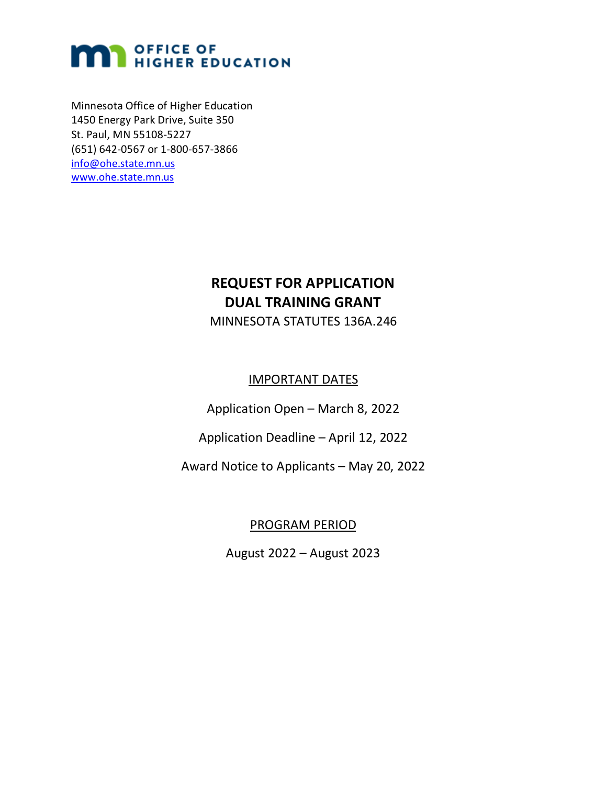# **MAN OFFICE OF**<br>HIGHER EDUCATION

Minnesota Office of Higher Education 1450 Energy Park Drive, Suite 350 St. Paul, MN 55108-5227 (651) 642-0567 or 1-800-657-3866 [info@ohe.state.mn.us](mailto:info@ohe.state.mn.us) [www.ohe.state.mn.us](http://www.ohe.state.mn.us/)

# **REQUEST FOR APPLICATION DUAL TRAINING GRANT**

MINNESOTA STATUTES 136A.246

#### IMPORTANT DATES

Application Open – March 8, 2022

Application Deadline – April 12, 2022

Award Notice to Applicants – May 20, 2022

#### PROGRAM PERIOD

August 2022 – August 2023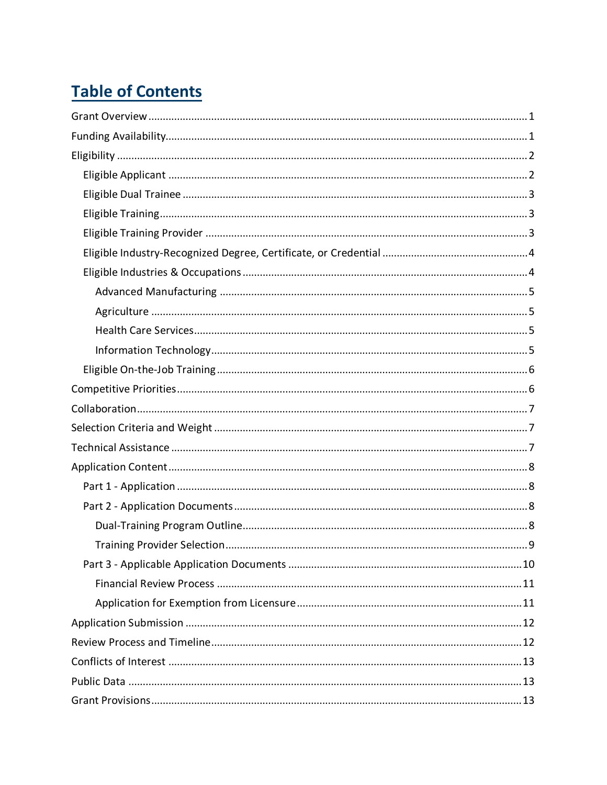# **Table of Contents**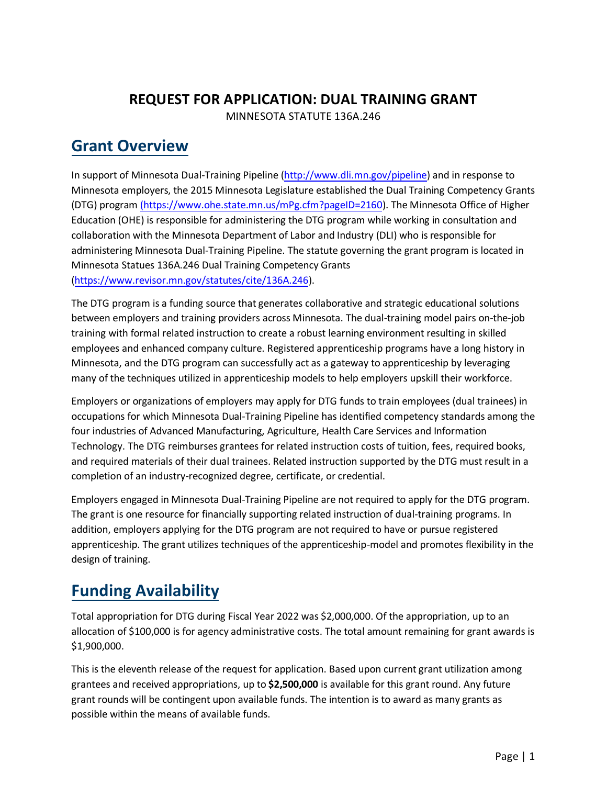#### **REQUEST FOR APPLICATION: DUAL TRAINING GRANT** MINNESOTA STATUTE 136A.246

# <span id="page-3-0"></span>**Grant Overview**

In support of Minnesota Dual-Training Pipeline [\(http://www.dli.mn.gov/pipeline\)](http://www.dli.mn.gov/pipeline) and in response to Minnesota employers, the 2015 Minnesota Legislature established the Dual Training Competency Grants (DTG) program [\(https://www.ohe.state.mn.us/mPg.cfm?pageID=2160\)](https://www.ohe.state.mn.us/mPg.cfm?pageID=2160). The Minnesota Office of Higher Education (OHE) is responsible for administering the DTG program while working in consultation and collaboration with the Minnesota Department of Labor and Industry (DLI) who isresponsible for administering Minnesota Dual-Training Pipeline. The statute governing the grant program is located in Minnesota Statues 136A.246 Dual Training Competency Grants [\(https://www.revisor.mn.gov/statutes/cite/136A.246\)](https://www.revisor.mn.gov/statutes/cite/136A.246).

The DTG program is a funding source that generates collaborative and strategic educational solutions between employers and training providers across Minnesota. The dual-training model pairs on-the-job training with formal related instruction to create a robust learning environment resulting in skilled employees and enhanced company culture. Registered apprenticeship programs have a long history in Minnesota, and the DTG program can successfully act as a gateway to apprenticeship by leveraging many of the techniques utilized in apprenticeship models to help employers upskill their workforce.

Employers or organizations of employers may apply for DTG funds to train employees (dual trainees) in occupations for which Minnesota Dual-Training Pipeline has identified competency standards among the four industries of Advanced Manufacturing, Agriculture, Health Care Services and Information Technology. The DTG reimburses grantees for related instruction costs of tuition, fees, required books, and required materials of their dual trainees. Related instruction supported by the DTG must result in a completion of an industry-recognized degree, certificate, or credential.

Employers engaged in Minnesota Dual-Training Pipeline are not required to apply for the DTG program. The grant is one resource for financially supporting related instruction of dual-training programs. In addition, employers applying for the DTG program are not required to have or pursue registered apprenticeship. The grant utilizes techniques of the apprenticeship-model and promotes flexibility in the design of training.

# <span id="page-3-1"></span>**Funding Availability**

Total appropriation for DTG during Fiscal Year 2022 was \$2,000,000. Of the appropriation, up to an allocation of \$100,000 is for agency administrative costs. The total amount remaining for grant awards is \$1,900,000.

This is the eleventh release of the request for application. Based upon current grant utilization among grantees and received appropriations, up to **\$2,500,000** is available for this grant round. Any future grant rounds will be contingent upon available funds. The intention is to award as many grants as possible within the means of available funds.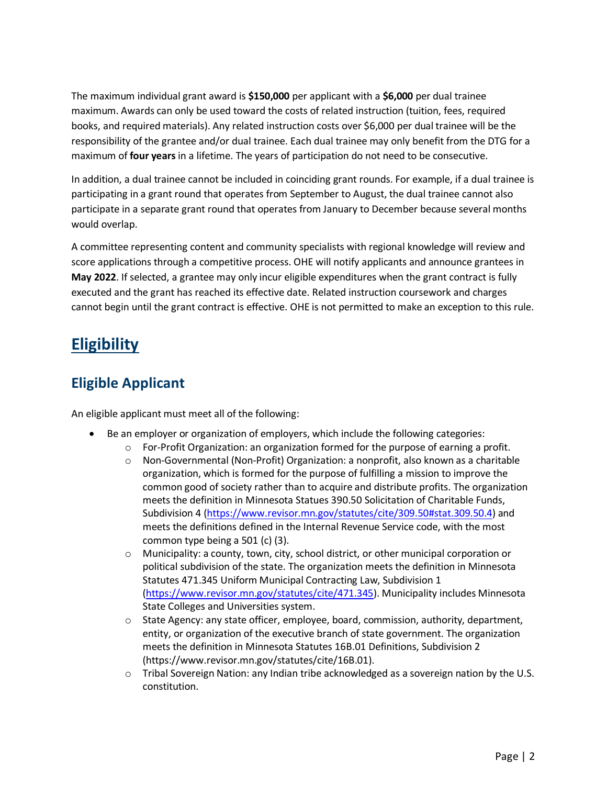The maximum individual grant award is **\$150,000** per applicant with a **\$6,000** per dual trainee maximum. Awards can only be used toward the costs of related instruction (tuition, fees, required books, and required materials). Any related instruction costs over \$6,000 per dual trainee will be the responsibility of the grantee and/or dual trainee. Each dual trainee may only benefit from the DTG for a maximum of **four years** in a lifetime. The years of participation do not need to be consecutive.

In addition, a dual trainee cannot be included in coinciding grant rounds. For example, if a dual trainee is participating in a grant round that operates from September to August, the dual trainee cannot also participate in a separate grant round that operates from January to December because several months would overlap.

A committee representing content and community specialists with regional knowledge will review and score applications through a competitive process. OHE will notify applicants and announce grantees in **May 2022**. If selected, a grantee may only incur eligible expenditures when the grant contract is fully executed and the grant has reached its effective date. Related instruction coursework and charges cannot begin until the grant contract is effective. OHE is not permitted to make an exception to this rule.

# <span id="page-4-0"></span>**Eligibility**

### <span id="page-4-1"></span>**Eligible Applicant**

An eligible applicant must meet all of the following:

- Be an employer or organization of employers, which include the following categories:
	- o For-Profit Organization: an organization formed for the purpose of earning a profit.
	- o Non-Governmental (Non-Profit) Organization: a nonprofit, also known as a charitable organization, which is formed for the purpose of fulfilling a mission to improve the common good of society rather than to acquire and distribute profits. The organization meets the definition in Minnesota Statues 390.50 Solicitation of Charitable Funds, Subdivision 4 [\(https://www.revisor.mn.gov/statutes/cite/309.50#stat.309.50.4\)](https://www.revisor.mn.gov/statutes/cite/309.50#stat.309.50.4) and meets the definitions defined in the Internal Revenue Service code, with the most common type being a 501 (c) (3).
	- o Municipality: a county, town, city, school district, or other municipal corporation or political subdivision of the state. The organization meets the definition in Minnesota Statutes 471.345 Uniform Municipal Contracting Law, Subdivision 1 [\(https://www.revisor.mn.gov/statutes/cite/471.345\)](https://www.revisor.mn.gov/statutes/cite/471.345). Municipality includes Minnesota State Colleges and Universities system.
	- o State Agency: any state officer, employee, board, commission, authority, department, entity, or organization of the executive branch of state government. The organization meets the definition in Minnesota Statutes 16B.01 Definitions, Subdivision 2 (https://www.revisor.mn.gov/statutes/cite/16B.01).
	- o Tribal Sovereign Nation: any Indian tribe acknowledged as a sovereign nation by the U.S. constitution.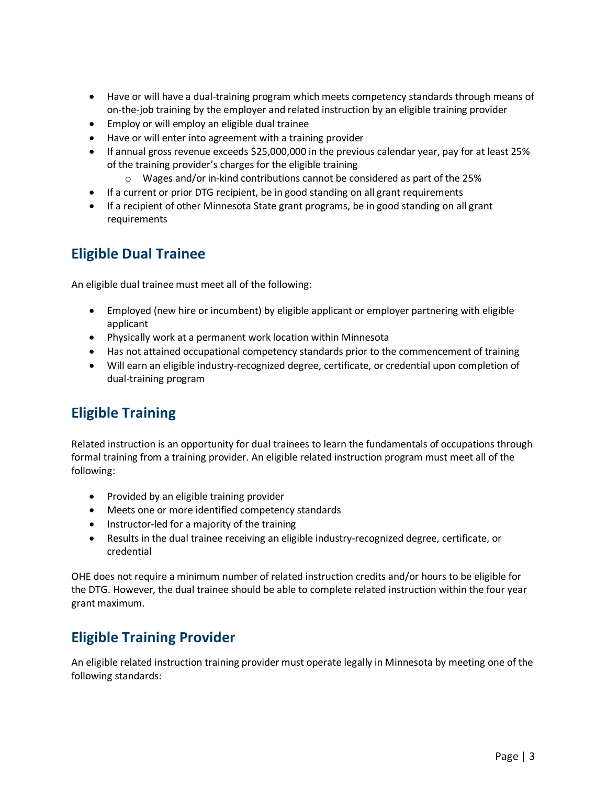- Have or will have a dual-training program which meets competency standards through means of on-the-job training by the employer and related instruction by an eligible training provider
- Employ or will employ an eligible dual trainee
- Have or will enter into agreement with a training provider
- If annual gross revenue exceeds \$25,000,000 in the previous calendar year, pay for at least 25% of the training provider's charges for the eligible training
	- $\circ$  Wages and/or in-kind contributions cannot be considered as part of the 25%
- If a current or prior DTG recipient, be in good standing on all grant requirements
- If a recipient of other Minnesota State grant programs, be in good standing on all grant requirements

#### <span id="page-5-0"></span>**Eligible Dual Trainee**

An eligible dual trainee must meet all of the following:

- Employed (new hire or incumbent) by eligible applicant or employer partnering with eligible applicant
- Physically work at a permanent work location within Minnesota
- Has not attained occupational competency standards prior to the commencement of training
- Will earn an eligible industry-recognized degree, certificate, or credential upon completion of dual-training program

#### <span id="page-5-1"></span>**Eligible Training**

Related instruction is an opportunity for dual trainees to learn the fundamentals of occupations through formal training from a training provider. An eligible related instruction program must meet all of the following:

- Provided by an eligible training provider
- Meets one or more identified competency standards
- Instructor-led for a majority of the training
- Results in the dual trainee receiving an eligible industry-recognized degree, certificate, or credential

OHE does not require a minimum number of related instruction credits and/or hours to be eligible for the DTG. However, the dual trainee should be able to complete related instruction within the four year grant maximum.

#### <span id="page-5-2"></span>**Eligible Training Provider**

An eligible related instruction training provider must operate legally in Minnesota by meeting one of the following standards: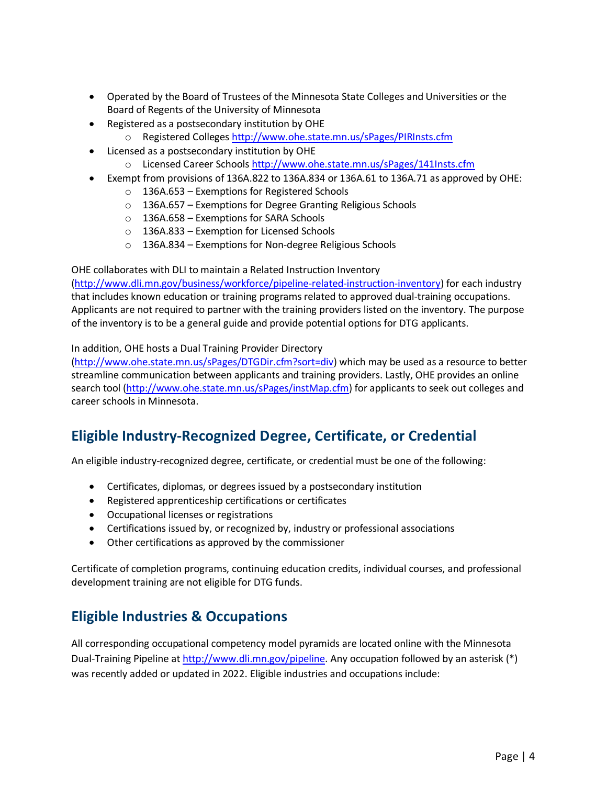- Operated by the Board of Trustees of the Minnesota State Colleges and Universities or the Board of Regents of the University of Minnesota
- Registered as a postsecondary institution by OHE
	- o Registered Colleges<http://www.ohe.state.mn.us/sPages/PIRInsts.cfm>
- Licensed as a postsecondary institution by OHE
	- o Licensed Career Schools <http://www.ohe.state.mn.us/sPages/141Insts.cfm>
- Exempt from provisions of 136A.822 to 136A.834 or 136A.61 to 136A.71 as approved by OHE:
	- o 136A.653 Exemptions for Registered Schools
	- o 136A.657 Exemptions for Degree Granting Religious Schools
	- o 136A.658 Exemptions for SARA Schools
	- o 136A.833 Exemption for Licensed Schools
	- o 136A.834 Exemptions for Non-degree Religious Schools

OHE collaborates with DLI to maintain a Related Instruction Inventory

[\(http://www.dli.mn.gov/business/workforce/pipeline-related-instruction-inventory\)](http://www.dli.mn.gov/business/workforce/pipeline-related-instruction-inventory) for each industry that includes known education or training programs related to approved dual-training occupations. Applicants are not required to partner with the training providers listed on the inventory. The purpose of the inventory is to be a general guide and provide potential options for DTG applicants.

#### In addition, OHE hosts a Dual Training Provider Directory

[\(http://www.ohe.state.mn.us/sPages/DTGDir.cfm?sort=div\)](http://www.ohe.state.mn.us/sPages/DTGDir.cfm?sort=div) which may be used as a resource to better streamline communication between applicants and training providers. Lastly, OHE provides an online search tool [\(http://www.ohe.state.mn.us/sPages/instMap.cfm\)](http://www.ohe.state.mn.us/sPages/instMap.cfm) for applicants to seek out colleges and career schools in Minnesota.

### <span id="page-6-0"></span>**Eligible Industry-Recognized Degree, Certificate, or Credential**

An eligible industry-recognized degree, certificate, or credential must be one of the following:

- Certificates, diplomas, or degrees issued by a postsecondary institution
- Registered apprenticeship certifications or certificates
- Occupational licenses or registrations
- Certifications issued by, or recognized by, industry or professional associations
- Other certifications as approved by the commissioner

Certificate of completion programs, continuing education credits, individual courses, and professional development training are not eligible for DTG funds.

#### <span id="page-6-1"></span>**Eligible Industries & Occupations**

All corresponding occupational competency model pyramids are located online with the Minnesota Dual-Training Pipeline at [http://www.dli.mn.gov/pipeline.](http://www.dli.mn.gov/pipeline) Any occupation followed by an asterisk (\*) was recently added or updated in 2022. Eligible industries and occupations include: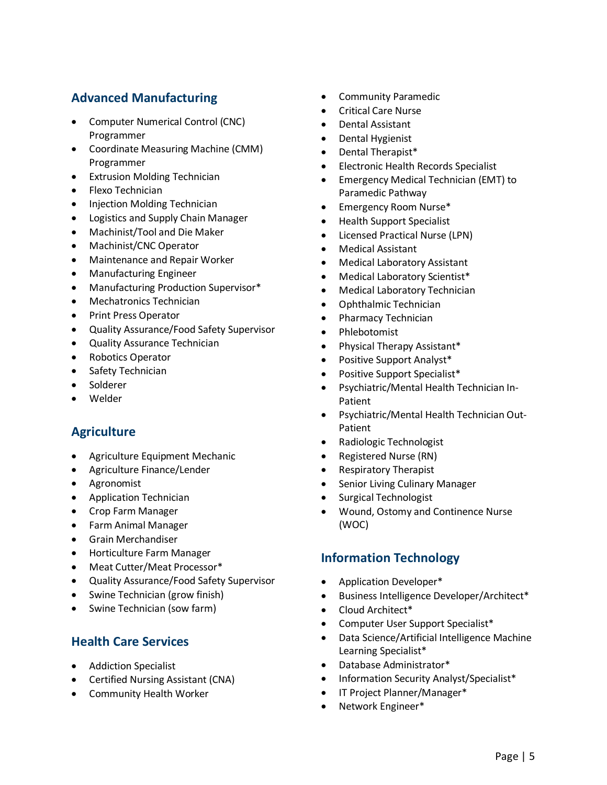#### <span id="page-7-0"></span>**Advanced Manufacturing**

- Computer Numerical Control (CNC) Programmer
- Coordinate Measuring Machine (CMM) Programmer
- Extrusion Molding Technician
- Flexo Technician
- Injection Molding Technician
- Logistics and Supply Chain Manager
- Machinist/Tool and Die Maker
- Machinist/CNC Operator
- Maintenance and Repair Worker
- Manufacturing Engineer
- Manufacturing Production Supervisor\*
- Mechatronics Technician
- Print Press Operator
- Quality Assurance/Food Safety Supervisor
- Quality Assurance Technician
- Robotics Operator
- Safety Technician
- Solderer
- <span id="page-7-1"></span>• Welder

#### **Agriculture**

- Agriculture Equipment Mechanic
- Agriculture Finance/Lender
- Agronomist
- Application Technician
- Crop Farm Manager
- Farm Animal Manager
- Grain Merchandiser
- Horticulture Farm Manager
- Meat Cutter/Meat Processor\*
- Quality Assurance/Food Safety Supervisor
- Swine Technician (grow finish)
- <span id="page-7-2"></span>• Swine Technician (sow farm)

#### **Health Care Services**

- Addiction Specialist
- Certified Nursing Assistant (CNA)
- Community Health Worker
- Community Paramedic
- Critical Care Nurse
- Dental Assistant
- Dental Hygienist
- Dental Therapist\*
- Electronic Health Records Specialist
- Emergency Medical Technician (EMT) to Paramedic Pathway
- Emergency Room Nurse\*
- Health Support Specialist
- Licensed Practical Nurse (LPN)
- Medical Assistant
- Medical Laboratory Assistant
- Medical Laboratory Scientist\*
- Medical Laboratory Technician
- Ophthalmic Technician
- Pharmacy Technician
- Phlebotomist
- Physical Therapy Assistant\*
- Positive Support Analyst\*
- Positive Support Specialist\*
- Psychiatric/Mental Health Technician In-Patient
- Psychiatric/Mental Health Technician Out-Patient
- Radiologic Technologist
- Registered Nurse (RN)
- Respiratory Therapist
- Senior Living Culinary Manager
- Surgical Technologist
- Wound, Ostomy and Continence Nurse (WOC)

#### <span id="page-7-3"></span>**Information Technology**

- Application Developer\*
- Business Intelligence Developer/Architect\*
- Cloud Architect\*
- Computer User Support Specialist\*
- Data Science/Artificial Intelligence Machine Learning Specialist\*
- Database Administrator\*
- Information Security Analyst/Specialist\*
- IT Project Planner/Manager\*
- Network Engineer\*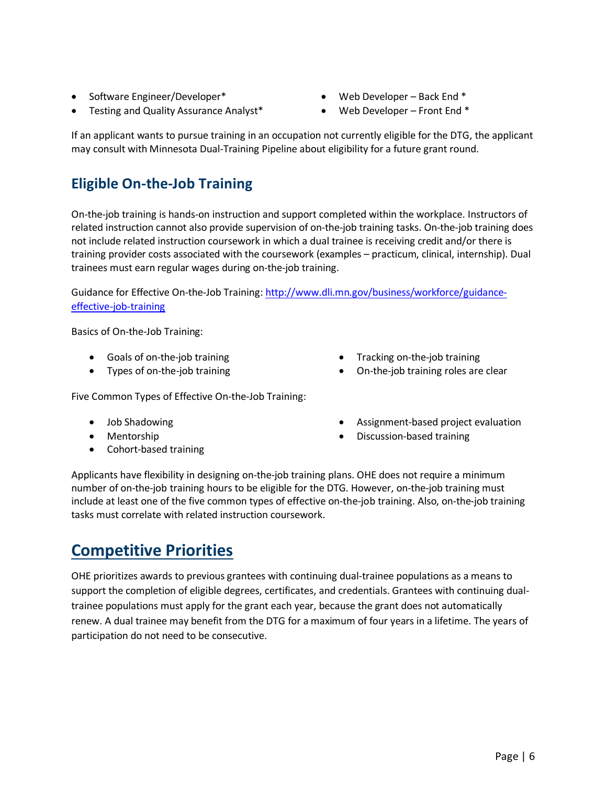- Software Engineer/Developer\*
- Testing and Quality Assurance Analyst\*
- Web Developer Back End \*
- Web Developer Front End \*

If an applicant wants to pursue training in an occupation not currently eligible for the DTG, the applicant may consult with Minnesota Dual-Training Pipeline about eligibility for a future grant round.

### <span id="page-8-0"></span>**Eligible On-the-Job Training**

On-the-job training is hands-on instruction and support completed within the workplace. Instructors of related instruction cannot also provide supervision of on-the-job training tasks. On-the-job training does not include related instruction coursework in which a dual trainee is receiving credit and/or there is training provider costs associated with the coursework (examples – practicum, clinical, internship). Dual trainees must earn regular wages during on-the-job training.

Guidance for Effective On-the-Job Training[: http://www.dli.mn.gov/business/workforce/guidance](http://www.dli.mn.gov/business/workforce/guidance-effective-job-training)[effective-job-training](http://www.dli.mn.gov/business/workforce/guidance-effective-job-training) 

Basics of On-the-Job Training:

- Goals of on-the-job training
- Types of on-the-job training

Five Common Types of Effective On-the-Job Training:

- Job Shadowing
- Mentorship
- Cohort-based training
- Tracking on-the-job training
- On-the-job training roles are clear
- Assignment-based project evaluation
- Discussion-based training

Applicants have flexibility in designing on-the-job training plans. OHE does not require a minimum number of on-the-job training hours to be eligible for the DTG. However, on-the-job training must include at least one of the five common types of effective on-the-job training. Also, on-the-job training tasks must correlate with related instruction coursework.

# <span id="page-8-1"></span>**Competitive Priorities**

<span id="page-8-2"></span>OHE prioritizes awards to previous grantees with continuing dual-trainee populations as a means to support the completion of eligible degrees, certificates, and credentials. Grantees with continuing dualtrainee populations must apply for the grant each year, because the grant does not automatically renew. A dual trainee may benefit from the DTG for a maximum of four years in a lifetime. The years of participation do not need to be consecutive.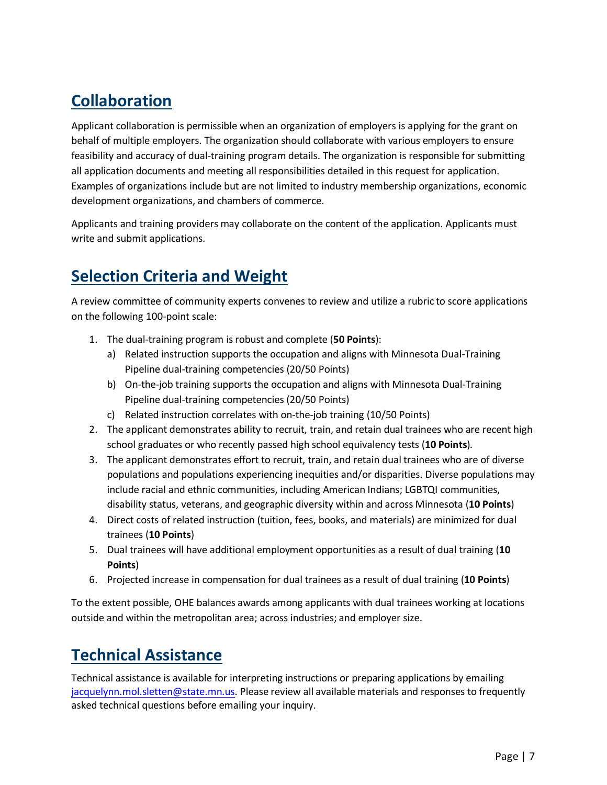# **Collaboration**

Applicant collaboration is permissible when an organization of employers is applying for the grant on behalf of multiple employers. The organization should collaborate with various employers to ensure feasibility and accuracy of dual-training program details. The organization is responsible for submitting all application documents and meeting all responsibilities detailed in this request for application. Examples of organizations include but are not limited to industry membership organizations, economic development organizations, and chambers of commerce.

Applicants and training providers may collaborate on the content of the application. Applicants must write and submit applications.

# <span id="page-9-0"></span>**Selection Criteria and Weight**

A review committee of community experts convenes to review and utilize a rubric to score applications on the following 100-point scale:

- 1. The dual-training program is robust and complete (**50 Points**):
	- a) Related instruction supports the occupation and aligns with Minnesota Dual-Training Pipeline dual-training competencies (20/50 Points)
	- b) On-the-job training supports the occupation and aligns with Minnesota Dual-Training Pipeline dual-training competencies (20/50 Points)
	- c) Related instruction correlates with on-the-job training (10/50 Points)
- 2. The applicant demonstrates ability to recruit, train, and retain dual trainees who are recent high school graduates or who recently passed high school equivalency tests (**10 Points**).
- 3. The applicant demonstrates effort to recruit, train, and retain dual trainees who are of diverse populations and populations experiencing inequities and/or disparities. Diverse populations may include racial and ethnic communities, including American Indians; LGBTQI communities, disability status, veterans, and geographic diversity within and across Minnesota (**10 Points**)
- 4. Direct costs of related instruction (tuition, fees, books, and materials) are minimized for dual trainees (**10 Points**)
- 5. Dual trainees will have additional employment opportunities as a result of dual training (**10 Points**)
- 6. Projected increase in compensation for dual trainees as a result of dual training (**10 Points**)

To the extent possible, OHE balances awards among applicants with dual trainees working at locations outside and within the metropolitan area; across industries; and employer size.

# <span id="page-9-1"></span>**Technical Assistance**

Technical assistance is available for interpreting instructions or preparing applications by emailing [jacquelynn.mol.sletten@state.mn.us.](mailto:jacquelynn.mol.sletten@state.mn.us) Please review all available materials and responses to frequently asked technical questions before emailing your inquiry.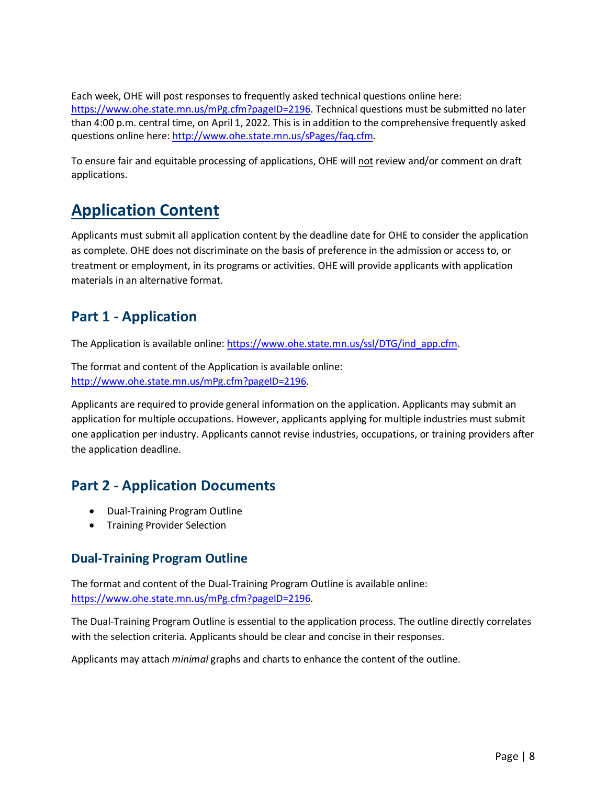Each week, OHE will post responses to frequently asked technical questions online here: [https://www.ohe.state.mn.us/mPg.cfm?pageID=2196.](https://www.ohe.state.mn.us/mPg.cfm?pageID=2196) Technical questions must be submitted no later than 4:00 p.m. central time, on April 1, 2022. This is in addition to the comprehensive frequently asked questions online here: [http://www.ohe.state.mn.us/sPages/faq.cfm.](http://www.ohe.state.mn.us/sPages/faq.cfm)

To ensure fair and equitable processing of applications, OHE will not review and/or comment on draft applications.

# <span id="page-10-0"></span>**Application Content**

Applicants must submit all application content by the deadline date for OHE to consider the application as complete. OHE does not discriminate on the basis of preference in the admission or access to, or treatment or employment, in its programs or activities. OHE will provide applicants with application materials in an alternative format.

#### <span id="page-10-1"></span>**Part 1 - Application**

The Application is available online: [https://www.ohe.state.mn.us/ssl/DTG/ind\\_app.cfm.](https://www.ohe.state.mn.us/ssl/DTG/ind_app.cfm)

The format and content of the Application is available online: [http://www.ohe.state.mn.us/mPg.cfm?pageID=2196.](http://www.ohe.state.mn.us/mPg.cfm?pageID=2196)

Applicants are required to provide general information on the application. Applicants may submit an application for multiple occupations. However, applicants applying for multiple industries must submit one application per industry. Applicants cannot revise industries, occupations, or training providers after the application deadline.

### <span id="page-10-2"></span>**Part 2 - Application Documents**

- Dual-Training Program Outline
- Training Provider Selection

#### <span id="page-10-3"></span>**Dual-Training Program Outline**

The format and content of the Dual-Training Program Outline is available online: [https://www.ohe.state.mn.us/mPg.cfm?pageID=2196.](https://www.ohe.state.mn.us/mPg.cfm?pageID=2196)

The Dual-Training Program Outline is essential to the application process. The outline directly correlates with the selection criteria. Applicants should be clear and concise in their responses.

<span id="page-10-4"></span>Applicants may attach *minimal* graphs and charts to enhance the content of the outline.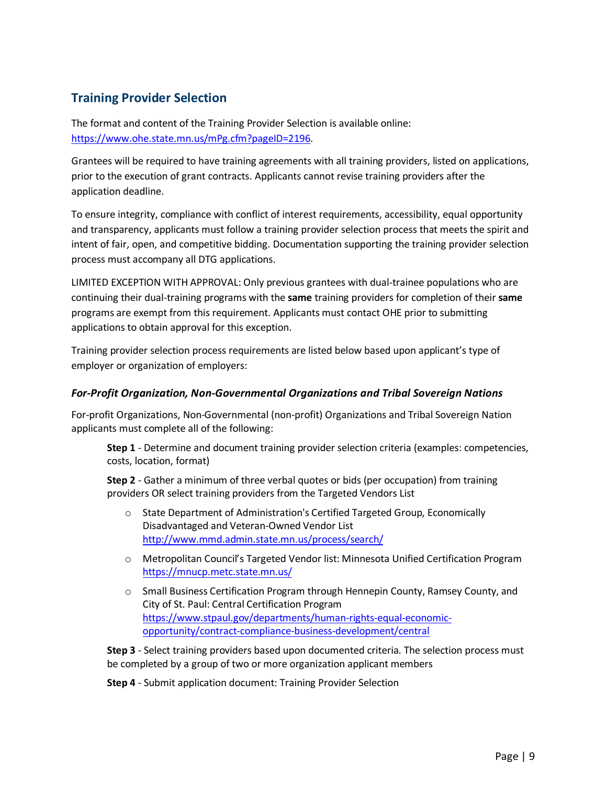#### **Training Provider Selection**

The format and content of the Training Provider Selection is available online: [https://www.ohe.state.mn.us/mPg.cfm?pageID=2196.](https://www.ohe.state.mn.us/mPg.cfm?pageID=2196)

Grantees will be required to have training agreements with all training providers, listed on applications, prior to the execution of grant contracts. Applicants cannot revise training providers after the application deadline.

To ensure integrity, compliance with conflict of interest requirements, accessibility, equal opportunity and transparency, applicants must follow a training provider selection process that meets the spirit and intent of fair, open, and competitive bidding. Documentation supporting the training provider selection process must accompany all DTG applications.

LIMITED EXCEPTION WITH APPROVAL: Only previous grantees with dual-trainee populations who are continuing their dual-training programs with the **same** training providers for completion of their **same** programs are exempt from this requirement. Applicants must contact OHE prior to submitting applications to obtain approval for this exception.

Training provider selection process requirements are listed below based upon applicant's type of employer or organization of employers:

#### *For-Profit Organization, Non-Governmental Organizations and Tribal Sovereign Nations*

For-profit Organizations, Non-Governmental (non-profit) Organizations and Tribal Sovereign Nation applicants must complete all of the following:

**Step 1** - Determine and document training provider selection criteria (examples: competencies, costs, location, format)

**Step 2** - Gather a minimum of three verbal quotes or bids (per occupation) from training providers OR select training providers from the Targeted Vendors List

- o State Department of Administration's Certified Targeted Group, Economically Disadvantaged and Veteran-Owned Vendor List <http://www.mmd.admin.state.mn.us/process/search/>
- o Metropolitan Council's Targeted Vendor list: Minnesota Unified Certification Program <https://mnucp.metc.state.mn.us/>
- $\circ$  Small Business Certification Program through Hennepin County, Ramsey County, and City of St. Paul: Central Certification Program [https://www.stpaul.gov/departments/human-rights-equal-economic](https://www.stpaul.gov/departments/human-rights-equal-economic-opportunity/contract-compliance-business-development/central)[opportunity/contract-compliance-business-development/central](https://www.stpaul.gov/departments/human-rights-equal-economic-opportunity/contract-compliance-business-development/central)

**Step 3** - Select training providers based upon documented criteria. The selection process must be completed by a group of two or more organization applicant members

**Step 4** - Submit application document: Training Provider Selection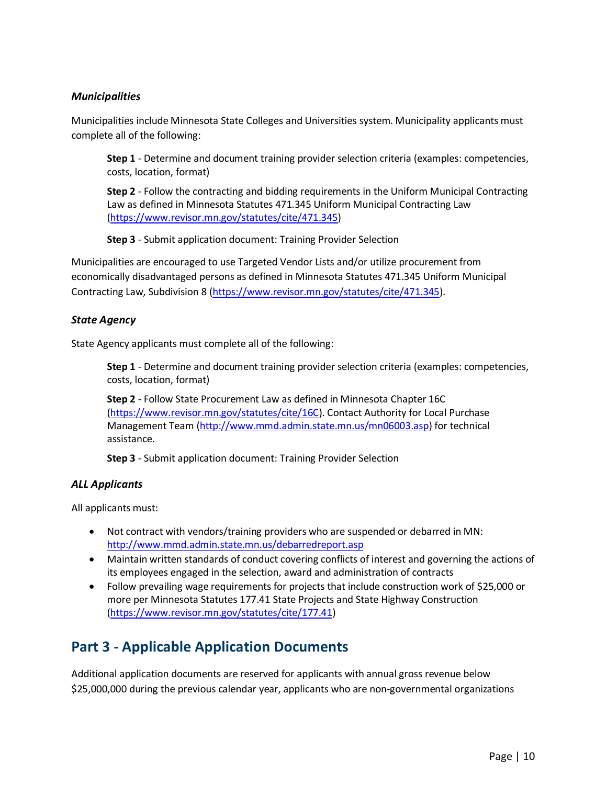#### *Municipalities*

Municipalities include Minnesota State Colleges and Universities system. Municipality applicants must complete all of the following:

**Step 1** - Determine and document training provider selection criteria (examples: competencies, costs, location, format)

**Step 2** - Follow the contracting and bidding requirements in the Uniform Municipal Contracting Law as defined in Minnesota Statutes 471.345 Uniform Municipal Contracting Law [\(https://www.revisor.mn.gov/statutes/cite/471.345\)](https://www.revisor.mn.gov/statutes/cite/471.345)

**Step 3** - Submit application document: Training Provider Selection

Municipalities are encouraged to use Targeted Vendor Lists and/or utilize procurement from economically disadvantaged persons as defined in Minnesota Statutes 471.345 Uniform Municipal Contracting Law, Subdivision 8 [\(https://www.revisor.mn.gov/statutes/cite/471.345\)](https://www.revisor.mn.gov/statutes/cite/471.345).

#### *State Agency*

State Agency applicants must complete all of the following:

**Step 1** - Determine and document training provider selection criteria (examples: competencies, costs, location, format)

**Step 2** - Follow State Procurement Law as defined in Minnesota Chapter 16C [\(https://www.revisor.mn.gov/statutes/cite/16C\)](https://www.revisor.mn.gov/statutes/cite/16C). Contact Authority for Local Purchase Management Team [\(http://www.mmd.admin.state.mn.us/mn06003.asp\)](http://www.mmd.admin.state.mn.us/mn06003.asp) for technical assistance.

**Step 3** - Submit application document: Training Provider Selection

#### *ALL Applicants*

All applicants must:

- Not contract with vendors/training providers who are suspended or debarred in MN: <http://www.mmd.admin.state.mn.us/debarredreport.asp>
- Maintain written standards of conduct covering conflicts of interest and governing the actions of its employees engaged in the selection, award and administration of contracts
- Follow prevailing wage requirements for projects that include construction work of \$25,000 or more per Minnesota Statutes 177.41 State Projects and State Highway Construction [\(https://www.revisor.mn.gov/statutes/cite/177.41\)](https://www.revisor.mn.gov/statutes/cite/177.41)

### <span id="page-12-0"></span>**Part 3 - Applicable Application Documents**

Additional application documents are reserved for applicants with annual gross revenue below \$25,000,000 during the previous calendar year, applicants who are non-governmental organizations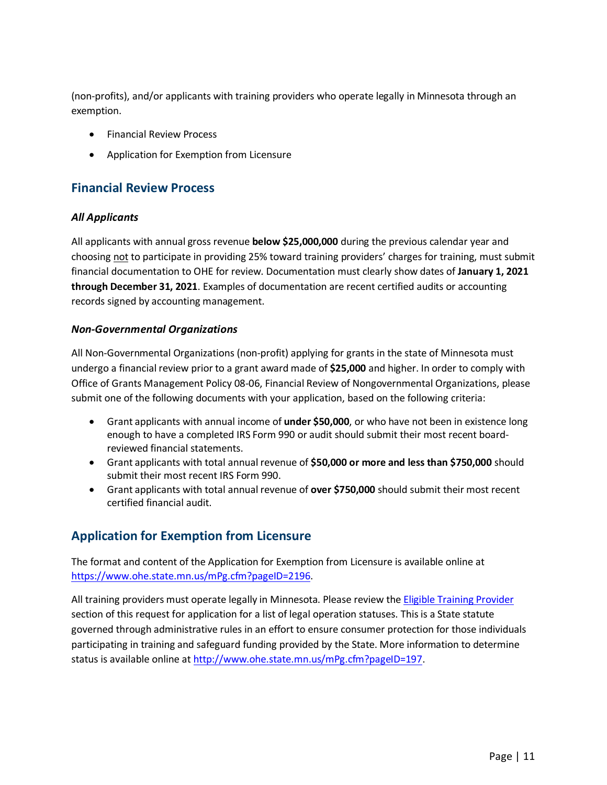(non-profits), and/or applicants with training providers who operate legally in Minnesota through an exemption.

- Financial Review Process
- Application for Exemption from Licensure

#### <span id="page-13-0"></span>**Financial Review Process**

#### *All Applicants*

All applicants with annual gross revenue **below \$25,000,000** during the previous calendar year and choosing not to participate in providing 25% toward training providers' charges for training, must submit financial documentation to OHE for review. Documentation must clearly show dates of **January 1, 2021 through December 31, 2021**. Examples of documentation are recent certified audits or accounting records signed by accounting management.

#### *Non-Governmental Organizations*

All Non-Governmental Organizations (non-profit) applying for grants in the state of Minnesota must undergo a financial review prior to a grant award made of **\$25,000** and higher. In order to comply with Office of Grants Management Policy 08-06, Financial Review of Nongovernmental Organizations, please submit one of the following documents with your application, based on the following criteria:

- Grant applicants with annual income of **under \$50,000**, or who have not been in existence long enough to have a completed IRS Form 990 or audit should submit their most recent boardreviewed financial statements.
- Grant applicants with total annual revenue of **\$50,000 or more and less than \$750,000** should submit their most recent IRS Form 990.
- Grant applicants with total annual revenue of **over \$750,000** should submit their most recent certified financial audit.

#### <span id="page-13-1"></span>**Application for Exemption from Licensure**

The format and content of the Application for Exemption from Licensure is available online at [https://www.ohe.state.mn.us/mPg.cfm?pageID=2196.](https://www.ohe.state.mn.us/mPg.cfm?pageID=2196)

All training providers must operate legally in Minnesota. Please review the [Eligible Training Provider](#page-5-2) section of this request for application for a list of legal operation statuses. This is a State statute governed through administrative rules in an effort to ensure consumer protection for those individuals participating in training and safeguard funding provided by the State. More information to determine status is available online at [http://www.ohe.state.mn.us/mPg.cfm?pageID=197.](http://www.ohe.state.mn.us/mPg.cfm?pageID=197)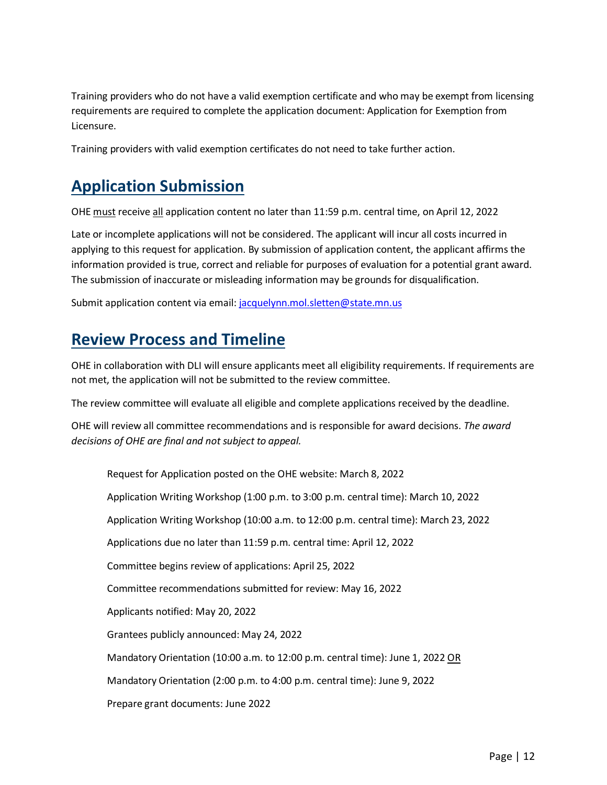Training providers who do not have a valid exemption certificate and who may be exempt from licensing requirements are required to complete the application document: Application for Exemption from Licensure.

Training providers with valid exemption certificates do not need to take further action.

# <span id="page-14-0"></span>**Application Submission**

OHE must receive all application content no later than 11:59 p.m. central time, on April 12, 2022

Late or incomplete applications will not be considered. The applicant will incur all costs incurred in applying to this request for application. By submission of application content, the applicant affirms the information provided is true, correct and reliable for purposes of evaluation for a potential grant award. The submission of inaccurate or misleading information may be grounds for disqualification.

Submit application content via email: jacquelynn.mol.sletten@state.mn.us

# <span id="page-14-1"></span>**Review Process and Timeline**

OHE in collaboration with DLI will ensure applicants meet all eligibility requirements. If requirements are not met, the application will not be submitted to the review committee.

The review committee will evaluate all eligible and complete applications received by the deadline.

OHE will review all committee recommendations and is responsible for award decisions. *The award decisions of OHE are final and not subject to appeal.*

Request for Application posted on the OHE website: March 8, 2022 Application Writing Workshop (1:00 p.m. to 3:00 p.m. central time): March 10, 2022 Application Writing Workshop (10:00 a.m. to 12:00 p.m. central time): March 23, 2022 Applications due no later than 11:59 p.m. central time: April 12, 2022 Committee begins review of applications: April 25, 2022 Committee recommendations submitted for review: May 16, 2022 Applicants notified: May 20, 2022 Grantees publicly announced: May 24, 2022 Mandatory Orientation (10:00 a.m. to 12:00 p.m. central time): June 1, 2022 OR Mandatory Orientation (2:00 p.m. to 4:00 p.m. central time): June 9, 2022 Prepare grant documents: June 2022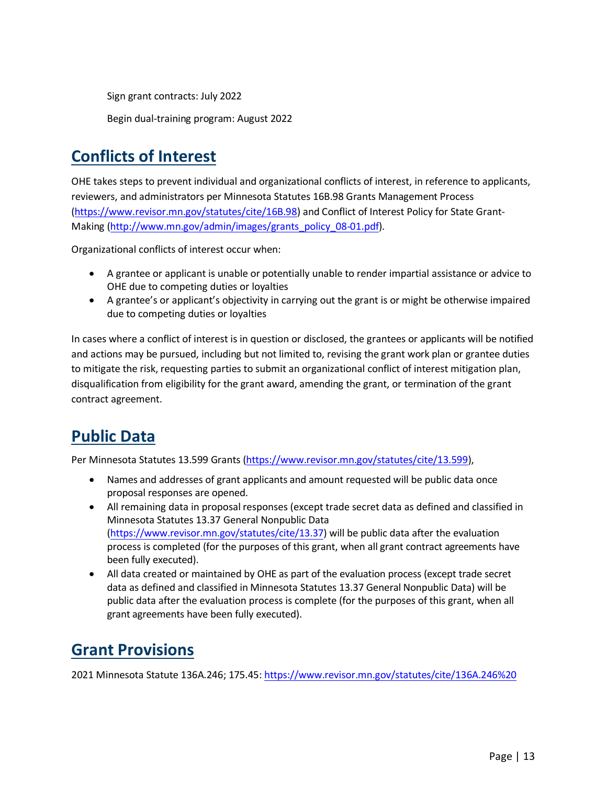Sign grant contracts: July 2022

Begin dual-training program: August 2022

# <span id="page-15-0"></span>**Conflicts of Interest**

OHE takes steps to prevent individual and organizational conflicts of interest, in reference to applicants, reviewers, and administrators per Minnesota Statutes 16B.98 Grants Management Process [\(https://www.revisor.mn.gov/statutes/cite/16B.98\)](https://www.revisor.mn.gov/statutes/cite/16B.98) and Conflict of Interest Policy for State Grant-Making [\(http://www.mn.gov/admin/images/grants\\_policy\\_08-01.pdf\)](http://www.mn.gov/admin/images/grants_policy_08-01.pdf).

Organizational conflicts of interest occur when:

- A grantee or applicant is unable or potentially unable to render impartial assistance or advice to OHE due to competing duties or loyalties
- A grantee's or applicant's objectivity in carrying out the grant is or might be otherwise impaired due to competing duties or loyalties

In cases where a conflict of interest is in question or disclosed, the grantees or applicants will be notified and actions may be pursued, including but not limited to, revising the grant work plan or grantee duties to mitigate the risk, requesting parties to submit an organizational conflict of interest mitigation plan, disqualification from eligibility for the grant award, amending the grant, or termination of the grant contract agreement.

# <span id="page-15-1"></span>**Public Data**

Per Minnesota Statutes 13.599 Grants [\(https://www.revisor.mn.gov/statutes/cite/13.599\)](https://www.revisor.mn.gov/statutes/cite/13.599),

- Names and addresses of grant applicants and amount requested will be public data once proposal responses are opened.
- All remaining data in proposal responses (except trade secret data as defined and classified in Minnesota Statutes 13.37 General Nonpublic Data [\(https://www.revisor.mn.gov/statutes/cite/13.37\)](https://www.revisor.mn.gov/statutes/cite/13.37) will be public data after the evaluation process is completed (for the purposes of this grant, when all grant contract agreements have been fully executed).
- All data created or maintained by OHE as part of the evaluation process (except trade secret data as defined and classified in Minnesota Statutes 13.37 General Nonpublic Data) will be public data after the evaluation process is complete (for the purposes of this grant, when all grant agreements have been fully executed).

# <span id="page-15-2"></span>**Grant Provisions**

2021 Minnesota Statute 136A.246; 175.45: [https://www.revisor.mn.gov/statutes/cite/136A.246%20](https://www.revisor.mn.gov/statutes/cite/136A.246)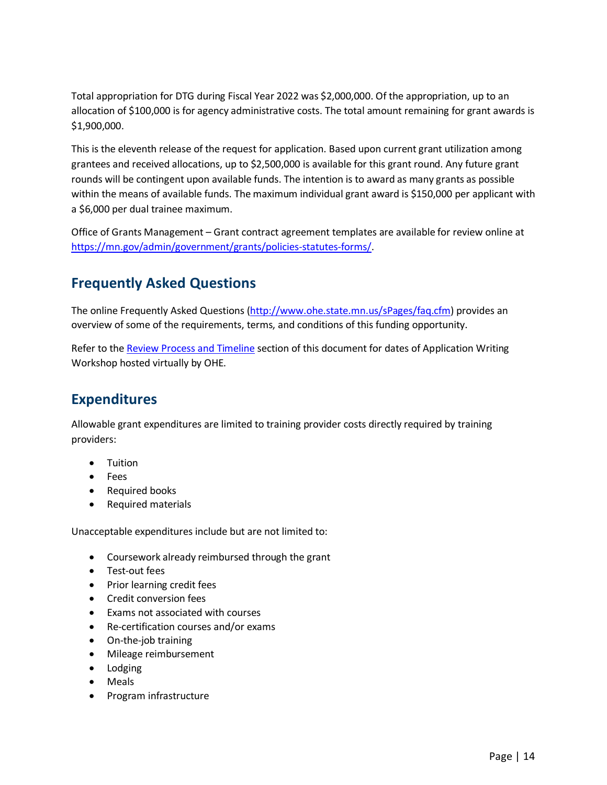Total appropriation for DTG during Fiscal Year 2022 was \$2,000,000. Of the appropriation, up to an allocation of \$100,000 is for agency administrative costs. The total amount remaining for grant awards is \$1,900,000.

This is the eleventh release of the request for application. Based upon current grant utilization among grantees and received allocations, up to \$2,500,000 is available for this grant round. Any future grant rounds will be contingent upon available funds. The intention is to award as many grants as possible within the means of available funds. The maximum individual grant award is \$150,000 per applicant with a \$6,000 per dual trainee maximum.

Office of Grants Management – Grant contract agreement templates are available for review online at [https://mn.gov/admin/government/grants/policies-statutes-forms/.](https://mn.gov/admin/government/grants/policies-statutes-forms/)

### <span id="page-16-0"></span>**Frequently Asked Questions**

The online Frequently Asked Questions [\(http://www.ohe.state.mn.us/sPages/faq.cfm\)](http://www.ohe.state.mn.us/sPages/faq.cfm) provides an overview of some of the requirements, terms, and conditions of this funding opportunity.

Refer to the [Review Process and Timeline](#page-14-1) section of this document for dates of Application Writing Workshop hosted virtually by OHE.

#### <span id="page-16-1"></span>**Expenditures**

Allowable grant expenditures are limited to training provider costs directly required by training providers:

- Tuition
- Fees
- Required books
- Required materials

Unacceptable expenditures include but are not limited to:

- Coursework already reimbursed through the grant
- Test-out fees
- Prior learning credit fees
- Credit conversion fees
- Exams not associated with courses
- Re-certification courses and/or exams
- On-the-job training
- Mileage reimbursement
- Lodging
- Meals
- Program infrastructure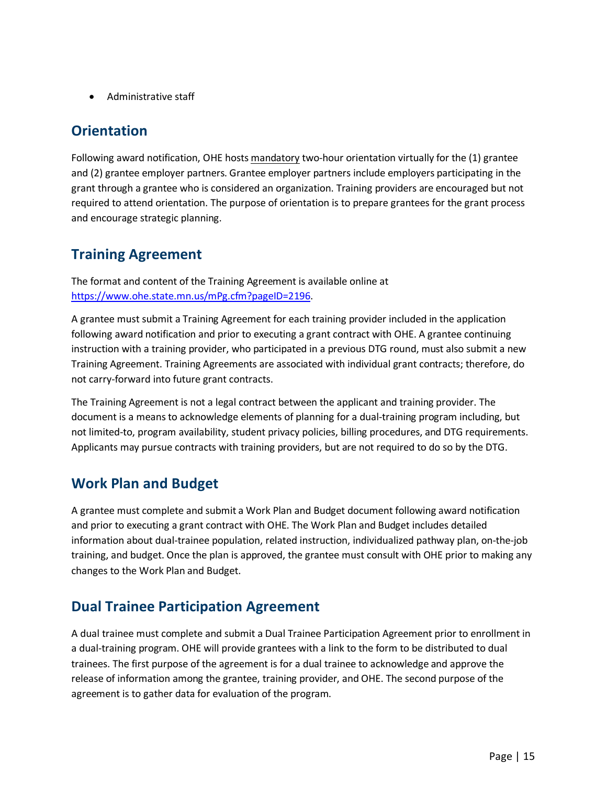• Administrative staff

#### <span id="page-17-0"></span>**Orientation**

Following award notification, OHE hosts mandatory two-hour orientation virtually for the (1) grantee and (2) grantee employer partners. Grantee employer partners include employers participating in the grant through a grantee who is considered an organization. Training providers are encouraged but not required to attend orientation. The purpose of orientation is to prepare grantees for the grant process and encourage strategic planning.

### <span id="page-17-1"></span>**Training Agreement**

The format and content of the Training Agreement is available online at [https://www.ohe.state.mn.us/mPg.cfm?pageID=2196.](https://www.ohe.state.mn.us/mPg.cfm?pageID=2196)

A grantee must submit a Training Agreement for each training provider included in the application following award notification and prior to executing a grant contract with OHE. A grantee continuing instruction with a training provider, who participated in a previous DTG round, must also submit a new Training Agreement. Training Agreements are associated with individual grant contracts; therefore, do not carry-forward into future grant contracts.

The Training Agreement is not a legal contract between the applicant and training provider. The document is a means to acknowledge elements of planning for a dual-training program including, but not limited-to, program availability, student privacy policies, billing procedures, and DTG requirements. Applicants may pursue contracts with training providers, but are not required to do so by the DTG.

### <span id="page-17-2"></span>**Work Plan and Budget**

A grantee must complete and submit a Work Plan and Budget document following award notification and prior to executing a grant contract with OHE. The Work Plan and Budget includes detailed information about dual-trainee population, related instruction, individualized pathway plan, on-the-job training, and budget. Once the plan is approved, the grantee must consult with OHE prior to making any changes to the Work Plan and Budget.

### <span id="page-17-3"></span>**Dual Trainee Participation Agreement**

A dual trainee must complete and submit a Dual Trainee Participation Agreement prior to enrollment in a dual-training program. OHE will provide grantees with a link to the form to be distributed to dual trainees. The first purpose of the agreement is for a dual trainee to acknowledge and approve the release of information among the grantee, training provider, and OHE. The second purpose of the agreement is to gather data for evaluation of the program.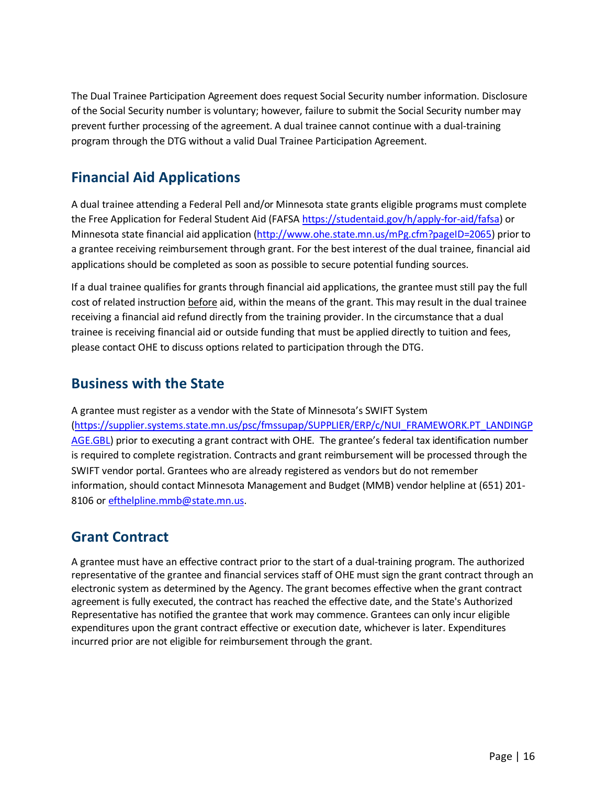The Dual Trainee Participation Agreement does request Social Security number information. Disclosure of the Social Security number is voluntary; however, failure to submit the Social Security number may prevent further processing of the agreement. A dual trainee cannot continue with a dual-training program through the DTG without a valid Dual Trainee Participation Agreement.

### <span id="page-18-0"></span>**Financial Aid Applications**

A dual trainee attending a Federal Pell and/or Minnesota state grants eligible programs must complete the Free Application for Federal Student Aid (FAFSA [https://studentaid.gov/h/apply-for-aid/fafsa\)](https://studentaid.gov/h/apply-for-aid/fafsa) or Minnesota state financial aid application [\(http://www.ohe.state.mn.us/mPg.cfm?pageID=2065\)](http://www.ohe.state.mn.us/mPg.cfm?pageID=2065) prior to a grantee receiving reimbursement through grant. For the best interest of the dual trainee, financial aid applications should be completed as soon as possible to secure potential funding sources.

If a dual trainee qualifies for grants through financial aid applications, the grantee must still pay the full cost of related instruction before aid, within the means of the grant. This may result in the dual trainee receiving a financial aid refund directly from the training provider. In the circumstance that a dual trainee is receiving financial aid or outside funding that must be applied directly to tuition and fees, please contact OHE to discuss options related to participation through the DTG.

#### <span id="page-18-1"></span>**Business with the State**

A grantee must register as a vendor with the State of Minnesota's SWIFT System [\(https://supplier.systems.state.mn.us/psc/fmssupap/SUPPLIER/ERP/c/NUI\\_FRAMEWORK.PT\\_LANDINGP](https://supplier.systems.state.mn.us/psc/fmssupap/SUPPLIER/ERP/c/NUI_FRAMEWORK.PT_LANDINGPAGE.GBL) [AGE.GBL\)](https://supplier.systems.state.mn.us/psc/fmssupap/SUPPLIER/ERP/c/NUI_FRAMEWORK.PT_LANDINGPAGE.GBL) prior to executing a grant contract with OHE. The grantee's federal tax identification number is required to complete registration. Contracts and grant reimbursement will be processed through the SWIFT vendor portal. Grantees who are already registered as vendors but do not remember information, should contact Minnesota Management and Budget (MMB) vendor helpline at (651) 201- 8106 or [efthelpline.mmb@state.mn.us.](mailto:efthelpline.mmb@state.mn.us)

#### <span id="page-18-2"></span>**Grant Contract**

<span id="page-18-3"></span>A grantee must have an effective contract prior to the start of a dual-training program. The authorized representative of the grantee and financial services staff of OHE must sign the grant contract through an electronic system as determined by the Agency. The grant becomes effective when the grant contract agreement is fully executed, the contract has reached the effective date, and the State's Authorized Representative has notified the grantee that work may commence. Grantees can only incur eligible expenditures upon the grant contract effective or execution date, whichever is later. Expenditures incurred prior are not eligible for reimbursement through the grant.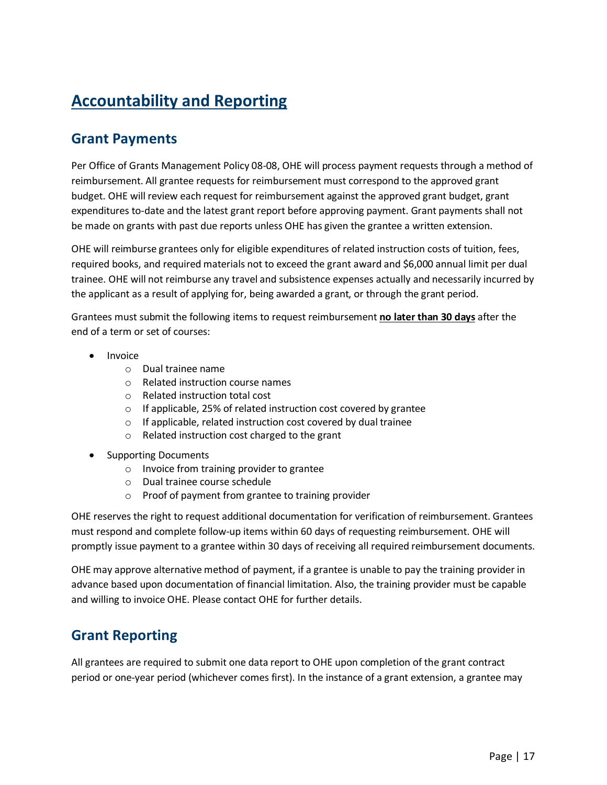# **Accountability and Reporting**

#### <span id="page-19-0"></span>**Grant Payments**

Per Office of Grants Management Policy 08-08, OHE will process payment requests through a method of reimbursement. All grantee requests for reimbursement must correspond to the approved grant budget. OHE will review each request for reimbursement against the approved grant budget, grant expenditures to-date and the latest grant report before approving payment. Grant payments shall not be made on grants with past due reports unless OHE has given the grantee a written extension.

OHE will reimburse grantees only for eligible expenditures of related instruction costs of tuition, fees, required books, and required materials not to exceed the grant award and \$6,000 annual limit per dual trainee. OHE will not reimburse any travel and subsistence expenses actually and necessarily incurred by the applicant as a result of applying for, being awarded a grant, or through the grant period.

Grantees must submit the following items to request reimbursement **no later than 30 days** after the end of a term or set of courses:

- Invoice
	- o Dual trainee name
	- o Related instruction course names
	- o Related instruction total cost
	- o If applicable, 25% of related instruction cost covered by grantee
	- o If applicable, related instruction cost covered by dual trainee
	- o Related instruction cost charged to the grant
- Supporting Documents
	- o Invoice from training provider to grantee
	- o Dual trainee course schedule
	- o Proof of payment from grantee to training provider

OHE reserves the right to request additional documentation for verification of reimbursement. Grantees must respond and complete follow-up items within 60 days of requesting reimbursement. OHE will promptly issue payment to a grantee within 30 days of receiving all required reimbursement documents.

OHE may approve alternative method of payment, if a grantee is unable to pay the training provider in advance based upon documentation of financial limitation. Also, the training provider must be capable and willing to invoice OHE. Please contact OHE for further details.

#### <span id="page-19-1"></span>**Grant Reporting**

All grantees are required to submit one data report to OHE upon completion of the grant contract period or one-year period (whichever comes first). In the instance of a grant extension, a grantee may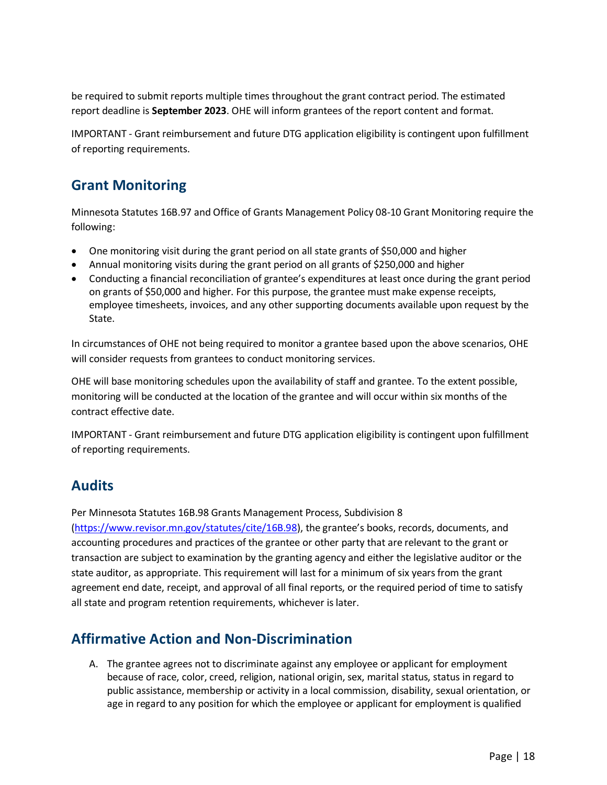be required to submit reports multiple times throughout the grant contract period. The estimated report deadline is **September 2023**. OHE will inform grantees of the report content and format.

IMPORTANT - Grant reimbursement and future DTG application eligibility is contingent upon fulfillment of reporting requirements.

#### <span id="page-20-0"></span>**Grant Monitoring**

Minnesota Statutes 16B.97 and Office of Grants Management Policy 08-10 Grant Monitoring require the following:

- One monitoring visit during the grant period on all state grants of \$50,000 and higher
- Annual monitoring visits during the grant period on all grants of \$250,000 and higher
- Conducting a financial reconciliation of grantee's expenditures at least once during the grant period on grants of \$50,000 and higher. For this purpose, the grantee must make expense receipts, employee timesheets, invoices, and any other supporting documents available upon request by the State.

In circumstances of OHE not being required to monitor a grantee based upon the above scenarios, OHE will consider requests from grantees to conduct monitoring services.

OHE will base monitoring schedules upon the availability of staff and grantee. To the extent possible, monitoring will be conducted at the location of the grantee and will occur within six months of the contract effective date.

IMPORTANT - Grant reimbursement and future DTG application eligibility is contingent upon fulfillment of reporting requirements.

#### <span id="page-20-1"></span>**Audits**

Per Minnesota Statutes 16B.98 Grants Management Process, Subdivision 8 [\(https://www.revisor.mn.gov/statutes/cite/16B.98\)](https://www.revisor.mn.gov/statutes/cite/16B.98), the grantee's books, records, documents, and accounting procedures and practices of the grantee or other party that are relevant to the grant or transaction are subject to examination by the granting agency and either the legislative auditor or the state auditor, as appropriate. This requirement will last for a minimum of six years from the grant agreement end date, receipt, and approval of all final reports, or the required period of time to satisfy all state and program retention requirements, whichever is later.

#### <span id="page-20-2"></span>**Affirmative Action and Non-Discrimination**

A. The grantee agrees not to discriminate against any employee or applicant for employment because of race, color, creed, religion, national origin, sex, marital status, status in regard to public assistance, membership or activity in a local commission, disability, sexual orientation, or age in regard to any position for which the employee or applicant for employment is qualified